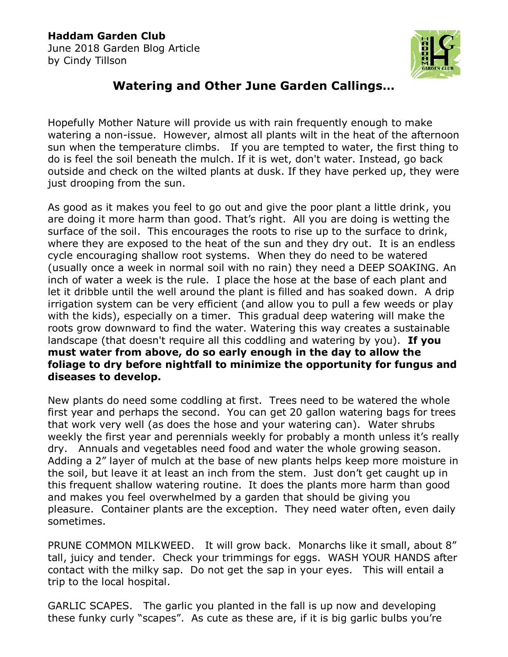## **Haddam Garden Club**

June 2018 Garden Blog Article by Cindy Tillson



## **Watering and Other June Garden Callings…**

Hopefully Mother Nature will provide us with rain frequently enough to make watering a non-issue. However, almost all plants wilt in the heat of the afternoon sun when the temperature climbs. If you are tempted to water, the first thing to do is feel the soil beneath the mulch. If it is wet, don't water. Instead, go back outside and check on the wilted plants at dusk. If they have perked up, they were just drooping from the sun.

As good as it makes you feel to go out and give the poor plant a little drink, you are doing it more harm than good. That's right. All you are doing is wetting the surface of the soil. This encourages the roots to rise up to the surface to drink, where they are exposed to the heat of the sun and they dry out. It is an endless cycle encouraging shallow root systems. When they do need to be watered (usually once a week in normal soil with no rain) they need a DEEP SOAKING. An inch of water a week is the rule. I place the hose at the base of each plant and let it dribble until the well around the plant is filled and has soaked down. A drip irrigation system can be very efficient (and allow you to pull a few weeds or play with the kids), especially on a timer. This gradual deep watering will make the roots grow downward to find the water. Watering this way creates a sustainable landscape (that doesn't require all this coddling and watering by you). **If you must water from above, do so early enough in the day to allow the foliage to dry before nightfall to minimize the opportunity for fungus and diseases to develop.**

New plants do need some coddling at first. Trees need to be watered the whole first year and perhaps the second. You can get 20 gallon watering bags for trees that work very well (as does the hose and your watering can). Water shrubs weekly the first year and perennials weekly for probably a month unless it's really dry. Annuals and vegetables need food and water the whole growing season. Adding a 2" layer of mulch at the base of new plants helps keep more moisture in the soil, but leave it at least an inch from the stem. Just don't get caught up in this frequent shallow watering routine. It does the plants more harm than good and makes you feel overwhelmed by a garden that should be giving you pleasure. Container plants are the exception. They need water often, even daily sometimes.

PRUNE COMMON MILKWEED. It will grow back. Monarchs like it small, about 8" tall, juicy and tender. Check your trimmings for eggs. WASH YOUR HANDS after contact with the milky sap. Do not get the sap in your eyes. This will entail a trip to the local hospital.

GARLIC SCAPES. The garlic you planted in the fall is up now and developing these funky curly "scapes". As cute as these are, if it is big garlic bulbs you're